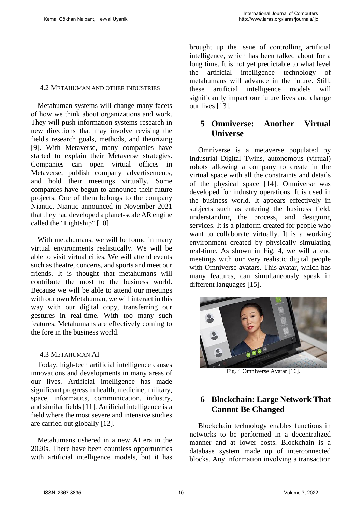#### 4.2 METAHUMAN AND OTHER INDUSTRIES

Metahuman systems will change many facets of how we think about organizations and work. They will push information systems research in new directions that may involve revising the field's research goals, methods, and theorizing [9]. With Metaverse, many companies have started to explain their Metaverse strategies. Companies can open virtual offices in Metaverse, publish company advertisements, and hold their meetings virtually. Some companies have begun to announce their future projects. One of them belongs to the company Niantic. Niantic announced in November 2021 that they had developed a planet-scale AR engine called the "Lightship" [10].

With metahumans, we will be found in many virtual environments realistically. We will be able to visit virtual cities. We will attend events such as theatre, concerts, and sports and meet our friends. It is thought that metahumans will contribute the most to the business world. Because we will be able to attend our meetings with our own Metahuman, we will interact in this way with our digital copy, transferring our gestures in real-time. With too many such features, Metahumans are effectively coming to the fore in the business world.

## 4.3 METAHUMAN AI

Today, high-tech artificial intelligence causes innovations and developments in many areas of our lives. Artificial intelligence has made significant progress in health, medicine, military, space, informatics, communication, industry, and similar fields [11]. Artificial intelligence is a field where the most severe and intensive studies are carried out globally [12].

Metahumans ushered in a new AI era in the 2020s. There have been countless opportunities with artificial intelligence models, but it has

brought up the issue of controlling artificial intelligence, which has been talked about for a long time. It is not yet predictable to what level the artificial intelligence technology of metahumans will advance in the future. Still, these artificial intelligence models will significantly impact our future lives and change our lives [13].

## **5 Omniverse: Another Virtual Universe**

 Omniverse is a metaverse populated by Industrial Digital Twins, autonomous (virtual) robots allowing a company to create in the virtual space with all the constraints and details of the physical space [14]. Omniverse was developed for industry operations. It is used in the business world. It appears effectively in subjects such as entering the business field, understanding the process, and designing services. It is a platform created for people who want to collaborate virtually. It is a working environment created by physically simulating real-time. As shown in Fig. 4, we will attend meetings with our very realistic digital people with Omniverse avatars. This avatar, which has many features, can simultaneously speak in different languages [15].



Fig. 4 Omniverse Avatar [16].

# **6 Blockchain: Large Network That Cannot Be Changed**

 Blockchain technology enables functions in networks to be performed in a decentralized manner and at lower costs. Blockchain is a database system made up of interconnected blocks. Any information involving a transaction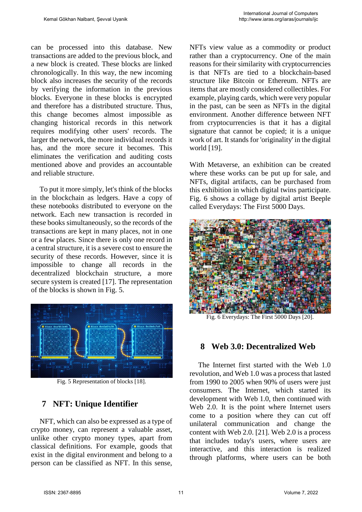can be processed into this database. New transactions are added to the previous block, and a new block is created. These blocks are linked chronologically. In this way, the new incoming block also increases the security of the records by verifying the information in the previous blocks. Everyone in these blocks is encrypted and therefore has a distributed structure. Thus, this change becomes almost impossible as changing historical records in this network requires modifying other users' records. The larger the network, the more individual records it has, and the more secure it becomes. This eliminates the verification and auditing costs mentioned above and provides an accountable and reliable structure.

 To put it more simply, let's think of the blocks in the blockchain as ledgers. Have a copy of these notebooks distributed to everyone on the network. Each new transaction is recorded in these books simultaneously, so the records of the transactions are kept in many places, not in one or a few places. Since there is only one record in a central structure, it is a severe cost to ensure the security of these records. However, since it is impossible to change all records in the decentralized blockchain structure, a more secure system is created [17]. The representation of the blocks is shown in Fig. 5.



Fig. 5 Representation of blocks [18].

# **7 NFT: Unique Identifier**

 NFT, which can also be expressed as a type of crypto money, can represent a valuable asset, unlike other crypto money types, apart from classical definitions. For example, goods that exist in the digital environment and belong to a person can be classified as NFT. In this sense, NFTs view value as a commodity or product rather than a cryptocurrency. One of the main reasons for their similarity with cryptocurrencies is that NFTs are tied to a blockchain-based structure like Bitcoin or Ethereum. NFTs are items that are mostly considered collectibles. For example, playing cards, which were very popular in the past, can be seen as NFTs in the digital environment. Another difference between NFT from cryptocurrencies is that it has a digital signature that cannot be copied; it is a unique work of art. It stands for 'originality' in the digital world [19].

With Metaverse, an exhibition can be created where these works can be put up for sale, and NFTs, digital artifacts, can be purchased from this exhibition in which digital twins participate. Fig. 6 shows a collage by digital artist Beeple called Everydays: The First 5000 Days.



Fig. 6 Everydays: The First 5000 Days [20].

# **8 Web 3.0: Decentralized Web**

The Internet first started with the Web 1.0 revolution, and Web 1.0 was a process that lasted from 1990 to 2005 when 90% of users were just consumers. The Internet, which started its development with Web 1.0, then continued with Web 2.0. It is the point where Internet users come to a position where they can cut off unilateral communication and change the content with Web 2.0. [21]. Web 2.0 is a process that includes today's users, where users are interactive, and this interaction is realized through platforms, where users can be both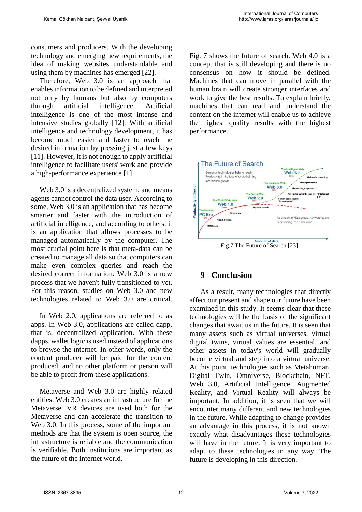consumers and producers. With the developing technology and emerging new requirements, the idea of making websites understandable and using them by machines has emerged [22].

 Therefore, Web 3.0 is an approach that enables information to be defined and interpreted not only by humans but also by computers through artificial intelligence. Artificial intelligence is one of the most intense and intensive studies globally [12]. With artificial intelligence and technology development, it has become much easier and faster to reach the desired information by pressing just a few keys [11]. However, it is not enough to apply artificial intelligence to facilitate users' work and provide a high-performance experience [1].

Web 3.0 is a decentralized system, and means agents cannot control the data user. According to some, Web 3.0 is an application that has become smarter and faster with the introduction of artificial intelligence, and according to others, it is an application that allows processes to be managed automatically by the computer. The most crucial point here is that meta-data can be created to manage all data so that computers can make even complex queries and reach the desired correct information. Web 3.0 is a new process that we haven't fully transitioned to yet. For this reason, studies on Web 3.0 and new technologies related to Web 3.0 are critical.

 In Web 2.0, applications are referred to as apps. In Web 3.0, applications are called dapp, that is, decentralized application. With these dapps, wallet logic is used instead of applications to browse the internet. In other words, only the content producer will be paid for the content produced, and no other platform or person will be able to profit from these applications.

 Metaverse and Web 3.0 are highly related entities. Web 3.0 creates an infrastructure for the Metaverse. VR devices are used both for the Metaverse and can accelerate the transition to Web 3.0. In this process, some of the important methods are that the system is open source, the infrastructure is reliable and the communication is verifiable. Both institutions are important as the future of the internet world.

Fig. 7 shows the future of search. Web 4.0 is a concept that is still developing and there is no consensus on how it should be defined. Machines that can move in parallel with the human brain will create stronger interfaces and work to give the best results. To explain briefly, machines that can read and understand the content on the internet will enable us to achieve the highest quality results with the highest performance.



## **9 Conclusion**

As a result, many technologies that directly affect our present and shape our future have been examined in this study. It seems clear that these technologies will be the basis of the significant changes that await us in the future. It is seen that many assets such as virtual universes, virtual digital twins, virtual values are essential, and other assets in today's world will gradually become virtual and step into a virtual universe. At this point, technologies such as Metahuman, Digital Twin, Omniverse, Blockchain, NFT, Web 3.0, Artificial Intelligence, Augmented Reality, and Virtual Reality will always be important. In addition, it is seen that we will encounter many different and new technologies in the future. While adapting to change provides an advantage in this process, it is not known exactly what disadvantages these technologies will have in the future. It is very important to adapt to these technologies in any way. The future is developing in this direction.